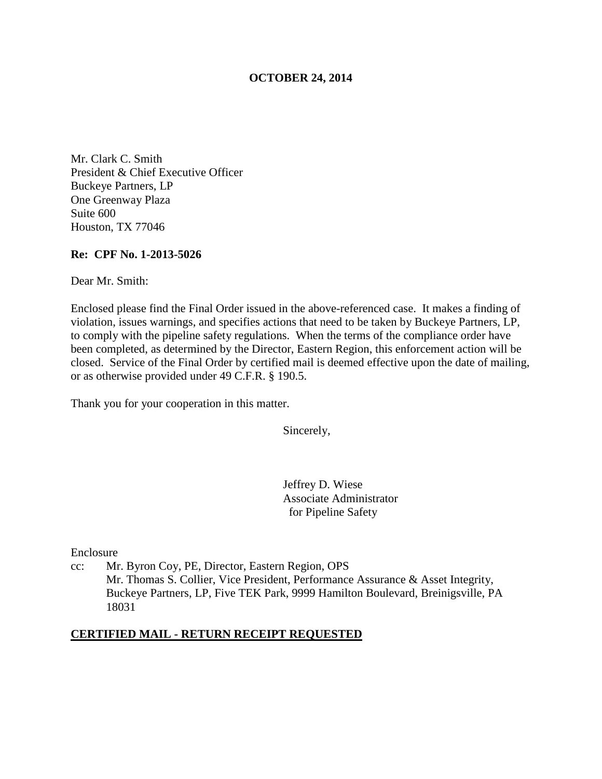## **OCTOBER 24, 2014**

Mr. Clark C. Smith President & Chief Executive Officer Buckeye Partners, LP One Greenway Plaza Suite 600 Houston, TX 77046

#### **Re: CPF No. 1-2013-5026**

Dear Mr. Smith:

Enclosed please find the Final Order issued in the above-referenced case. It makes a finding of violation, issues warnings, and specifies actions that need to be taken by Buckeye Partners, LP, to comply with the pipeline safety regulations. When the terms of the compliance order have been completed, as determined by the Director, Eastern Region, this enforcement action will be closed. Service of the Final Order by certified mail is deemed effective upon the date of mailing, or as otherwise provided under 49 C.F.R. § 190.5.

Thank you for your cooperation in this matter.

Sincerely,

Jeffrey D. Wiese Associate Administrator for Pipeline Safety

Enclosure

cc: Mr. Byron Coy, PE, Director, Eastern Region, OPS Mr. Thomas S. Collier, Vice President, Performance Assurance & Asset Integrity, Buckeye Partners, LP, Five TEK Park, 9999 Hamilton Boulevard, Breinigsville, PA 18031

#### **CERTIFIED MAIL - RETURN RECEIPT REQUESTED**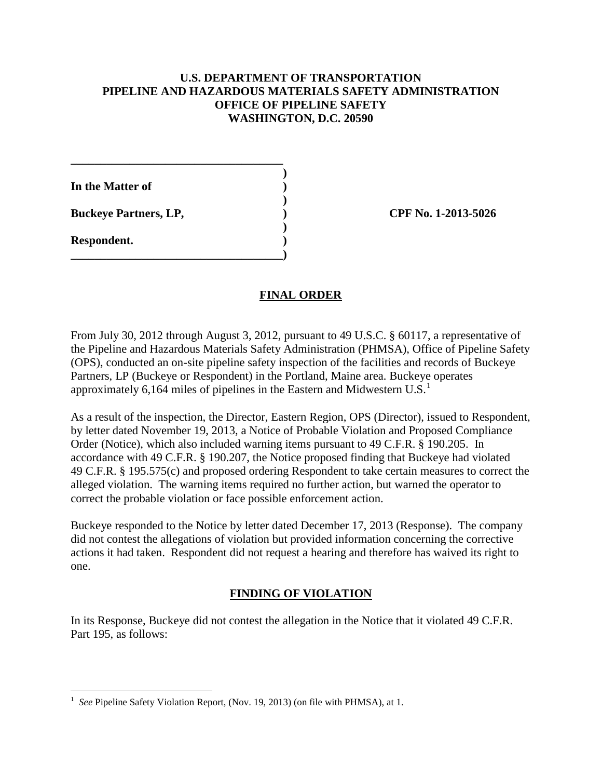## **U.S. DEPARTMENT OF TRANSPORTATION PIPELINE AND HAZARDOUS MATERIALS SAFETY ADMINISTRATION OFFICE OF PIPELINE SAFETY WASHINGTON, D.C. 20590**

**In the Matter of )** 

**Buckeye Partners, LP,**  (2013-5026)

**\_\_\_\_\_\_\_\_\_\_\_\_\_\_\_\_\_\_\_\_\_\_\_\_\_\_\_\_\_\_\_\_\_\_\_\_ )** 

 **)** 

 **)** 

**\_\_\_\_\_\_\_\_\_\_\_\_\_\_\_\_\_\_\_\_\_\_\_\_\_\_\_\_\_\_\_\_\_\_\_\_)** 

**Respondent. )** 

## **FINAL ORDER**

From July 30, 2012 through August 3, 2012, pursuant to 49 U.S.C. § 60117, a representative of the Pipeline and Hazardous Materials Safety Administration (PHMSA), Office of Pipeline Safety (OPS), conducted an on-site pipeline safety inspection of the facilities and records of Buckeye Partners, LP (Buckeye or Respondent) in the Portland, Maine area. Buckeye operates approximately 6,164 miles of pipelines in the Eastern and Midwestern U.S.<sup>1</sup>

As a result of the inspection, the Director, Eastern Region, OPS (Director), issued to Respondent, by letter dated November 19, 2013, a Notice of Probable Violation and Proposed Compliance Order (Notice), which also included warning items pursuant to 49 C.F.R. § 190.205. In accordance with 49 C.F.R. § 190.207, the Notice proposed finding that Buckeye had violated 49 C.F.R. § 195.575(c) and proposed ordering Respondent to take certain measures to correct the alleged violation. The warning items required no further action, but warned the operator to correct the probable violation or face possible enforcement action.

Buckeye responded to the Notice by letter dated December 17, 2013 (Response). The company did not contest the allegations of violation but provided information concerning the corrective actions it had taken. Respondent did not request a hearing and therefore has waived its right to one.

# **FINDING OF VIOLATION**

In its Response, Buckeye did not contest the allegation in the Notice that it violated 49 C.F.R. Part 195, as follows:

 $\overline{a}$ 1 *See* Pipeline Safety Violation Report, (Nov. 19, 2013) (on file with PHMSA), at 1.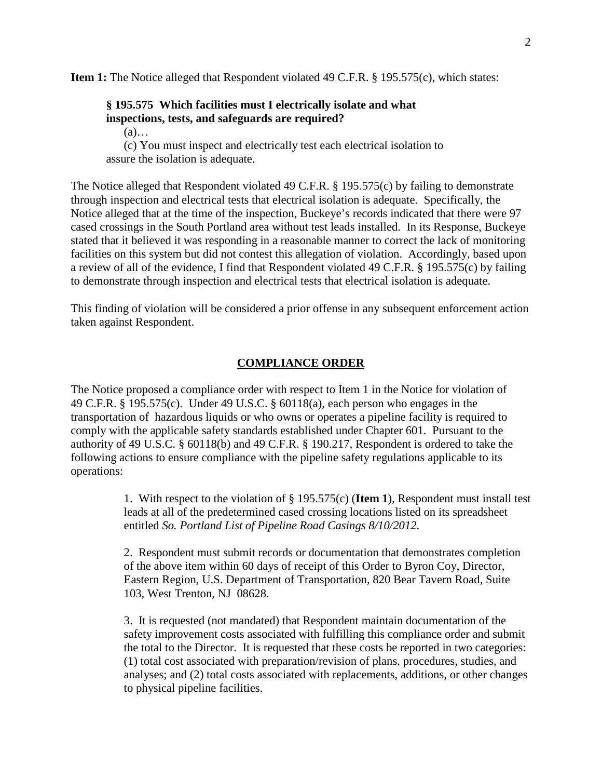**Item 1:** The Notice alleged that Respondent violated 49 C.F.R. § 195.575(c), which states:

## **§ 195.575 Which facilities must I electrically isolate and what inspections, tests, and safeguards are required?**

 $(a)$ …

(c) You must inspect and electrically test each electrical isolation to assure the isolation is adequate.

The Notice alleged that Respondent violated 49 C.F.R. § 195.575(c) by failing to demonstrate through inspection and electrical tests that electrical isolation is adequate. Specifically, the Notice alleged that at the time of the inspection, Buckeye's records indicated that there were 97 cased crossings in the South Portland area without test leads installed. In its Response, Buckeye stated that it believed it was responding in a reasonable manner to correct the lack of monitoring facilities on this system but did not contest this allegation of violation. Accordingly, based upon a review of all of the evidence, I find that Respondent violated 49 C.F.R. § 195.575(c) by failing to demonstrate through inspection and electrical tests that electrical isolation is adequate.

This finding of violation will be considered a prior offense in any subsequent enforcement action taken against Respondent.

### **COMPLIANCE ORDER**

The Notice proposed a compliance order with respect to Item 1 in the Notice for violation of 49 C.F.R. § 195.575(c). Under 49 U.S.C. § 60118(a), each person who engages in the transportation of hazardous liquids or who owns or operates a pipeline facility is required to comply with the applicable safety standards established under Chapter 601. Pursuant to the authority of 49 U.S.C. § 60118(b) and 49 C.F.R. § 190.217, Respondent is ordered to take the following actions to ensure compliance with the pipeline safety regulations applicable to its operations:

> 1. With respect to the violation of § 195.575(c) (**Item 1**), Respondent must install test leads at all of the predetermined cased crossing locations listed on its spreadsheet entitled *So. Portland List of Pipeline Road Casings 8/10/2012*.

2. Respondent must submit records or documentation that demonstrates completion of the above item within 60 days of receipt of this Order to Byron Coy, Director, Eastern Region, U.S. Department of Transportation, 820 Bear Tavern Road, Suite 103, West Trenton, NJ 08628.

3. It is requested (not mandated) that Respondent maintain documentation of the safety improvement costs associated with fulfilling this compliance order and submit the total to the Director. It is requested that these costs be reported in two categories: (1) total cost associated with preparation/revision of plans, procedures, studies, and analyses; and (2) total costs associated with replacements, additions, or other changes to physical pipeline facilities.